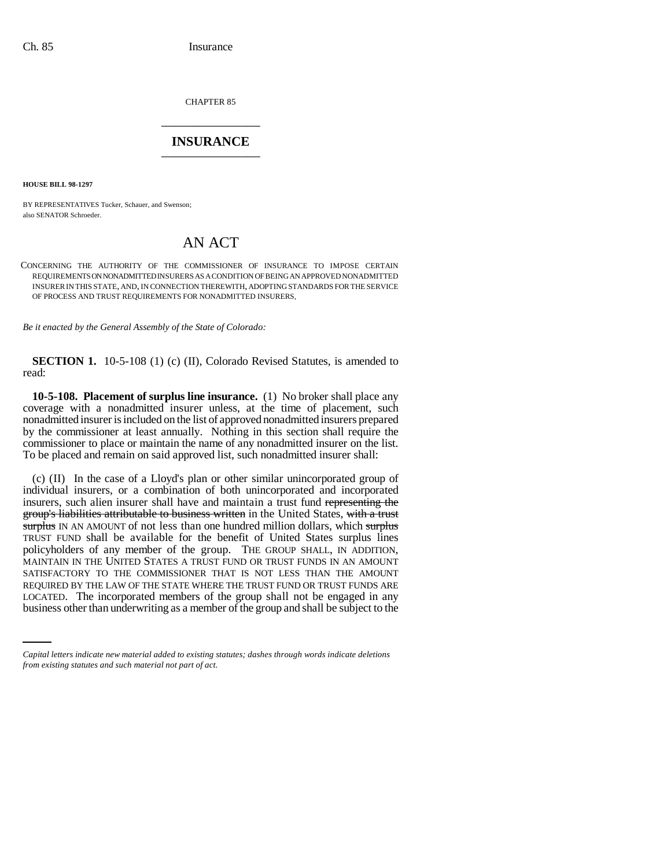CHAPTER 85 \_\_\_\_\_\_\_\_\_\_\_\_\_\_\_

## **INSURANCE** \_\_\_\_\_\_\_\_\_\_\_\_\_\_\_

**HOUSE BILL 98-1297**

BY REPRESENTATIVES Tucker, Schauer, and Swenson; also SENATOR Schroeder.

## AN ACT

CONCERNING THE AUTHORITY OF THE COMMISSIONER OF INSURANCE TO IMPOSE CERTAIN REQUIREMENTS ON NONADMITTED INSURERS AS A CONDITION OF BEING AN APPROVED NONADMITTED INSURER IN THIS STATE, AND, IN CONNECTION THEREWITH, ADOPTING STANDARDS FOR THE SERVICE OF PROCESS AND TRUST REQUIREMENTS FOR NONADMITTED INSURERS.

*Be it enacted by the General Assembly of the State of Colorado:*

**SECTION 1.** 10-5-108 (1) (c) (II), Colorado Revised Statutes, is amended to read:

**10-5-108. Placement of surplus line insurance.** (1) No broker shall place any coverage with a nonadmitted insurer unless, at the time of placement, such nonadmitted insurer is included on the list of approved nonadmitted insurers prepared by the commissioner at least annually. Nothing in this section shall require the commissioner to place or maintain the name of any nonadmitted insurer on the list. To be placed and remain on said approved list, such nonadmitted insurer shall:

REQUIRED BY THE LAW OF THE STATE WHERE THE TRUST FUND OR TRUST FUNDS ARE (c) (II) In the case of a Lloyd's plan or other similar unincorporated group of individual insurers, or a combination of both unincorporated and incorporated insurers, such alien insurer shall have and maintain a trust fund representing the group's liabilities attributable to business written in the United States, with a trust surplus IN AN AMOUNT of not less than one hundred million dollars, which surplus TRUST FUND shall be available for the benefit of United States surplus lines policyholders of any member of the group. THE GROUP SHALL, IN ADDITION, MAINTAIN IN THE UNITED STATES A TRUST FUND OR TRUST FUNDS IN AN AMOUNT SATISFACTORY TO THE COMMISSIONER THAT IS NOT LESS THAN THE AMOUNT LOCATED. The incorporated members of the group shall not be engaged in any business other than underwriting as a member of the group and shall be subject to the

*Capital letters indicate new material added to existing statutes; dashes through words indicate deletions from existing statutes and such material not part of act.*